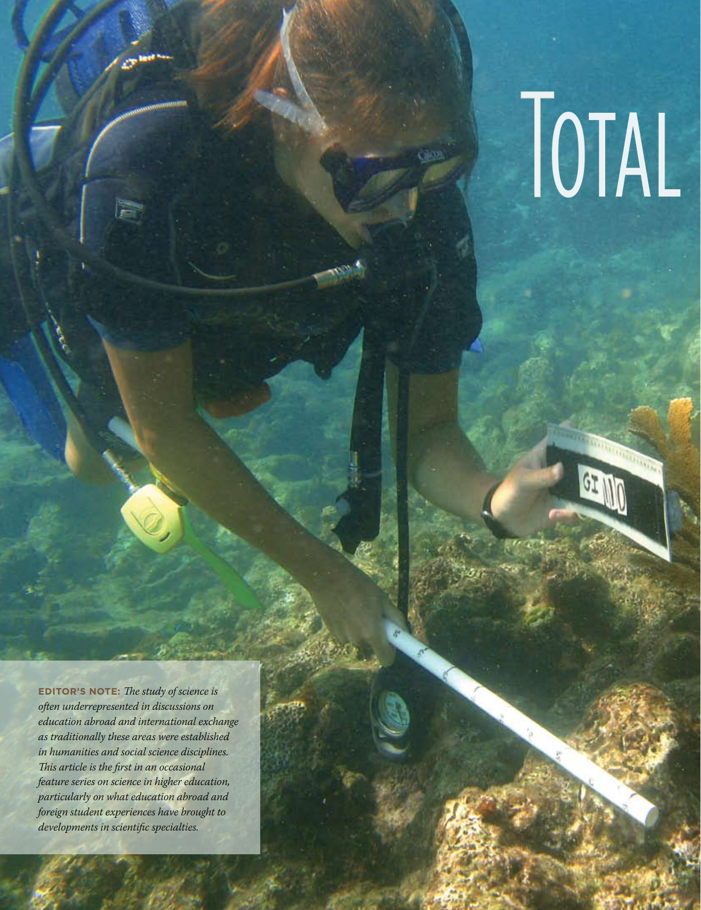## TOTAL

 $G$ 

**Editor's Note:** *The study of science is often underrepresented in discussions on education abroad and international exchange as traditionally these areas were established in humanities and social science disciplines. This article is the first in an occasional feature series on science in higher education, particularly on what education abroad and foreign student experiences have brought to developments in scientific specialties.*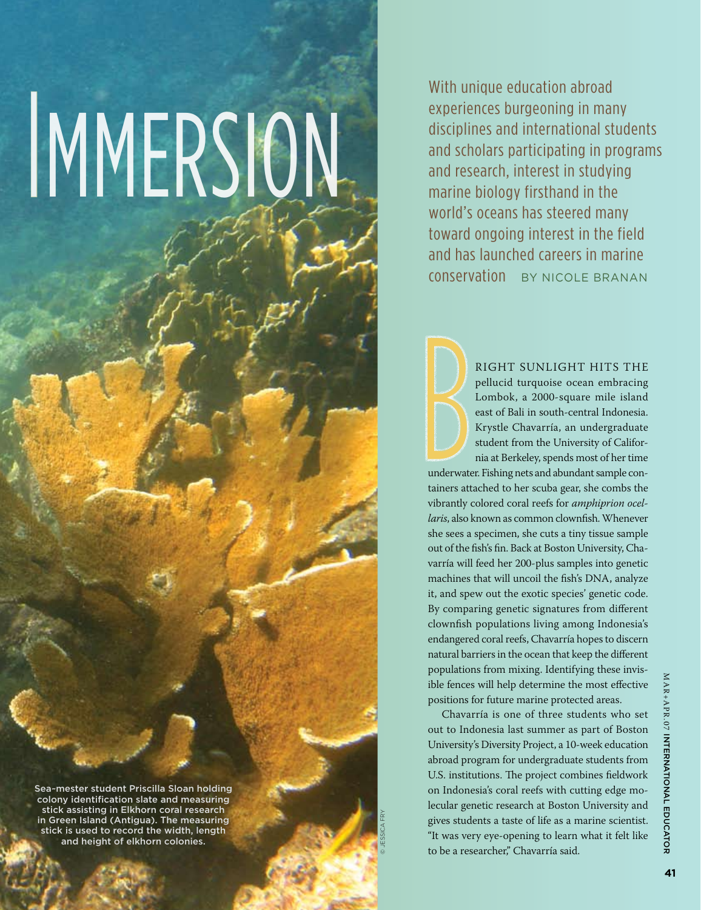# IMMERSION.

Sea~mester student Priscilla Sloan holding colony identification slate and measuring stick assisting in Elkhorn coral research in Green Island (Antigua). The measuring stick is used to record the width, length and height of elkhorn colonies.

With unique education abroad experiences burgeoning in many disciplines and international students and scholars participating in programs and research, interest in studying marine biology firsthand in the world's oceans has steered many toward ongoing interest in the field and has launched careers in marine conservation By Nicole Branan

> right sunlight hits the pellucid turquoise ocean embracing Lombok, a 2000-square mile island east of Bali in south-central Indonesia. Krystle Chavarría, an undergraduate student from the University of California at Berkeley, spends most of her time

underwater. Fishing nets and abundant sample containers attached to her scuba gear, she combs the vibrantly colored coral reefs for *amphiprion ocellaris*, also known as common clownfish. Whenever she sees a specimen, she cuts a tiny tissue sample out of the fish's fin. Back at Boston University, Chavarría will feed her 200-plus samples into genetic machines that will uncoil the fish's DNA, analyze it, and spew out the exotic species' genetic code. By comparing genetic signatures from different clownfish populations living among Indonesia's endangered coral reefs, Chavarría hopes to discern natural barriers in the ocean that keep the different populations from mixing. Identifying these invisible fences will help determine the most effective positions for future marine protected areas.

Chavarría is one of three students who set out to Indonesia last summer as part of Boston University's Diversity Project, a 10-week education abroad program for undergraduate students from U.S. institutions. The project combines fieldwork on Indonesia's coral reefs with cutting edge molecular genetic research at Boston University and gives students a taste of life as a marine scientist. "It was very eye-opening to learn what it felt like to be a researcher," Chavarría said.

© Jessica Fry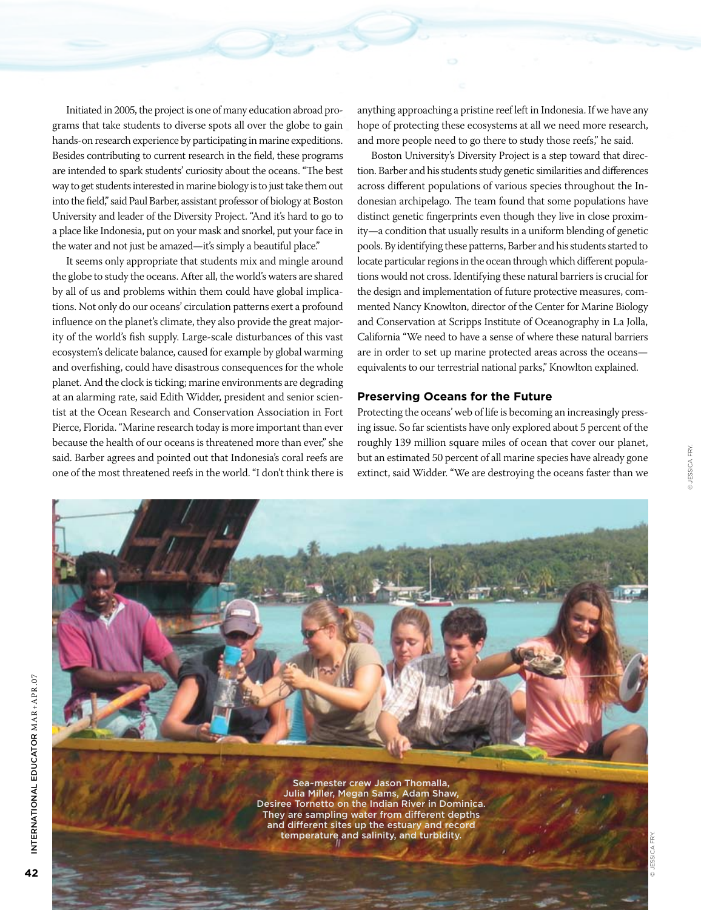Initiated in 2005, the project is one of many education abroad programs that take students to diverse spots all over the globe to gain hands-on research experience by participating in marine expeditions. Besides contributing to current research in the field, these programs are intended to spark students' curiosity about the oceans. "The best way to get students interested in marine biology is to just take them out into the field," said Paul Barber, assistant professor of biology at Boston University and leader of the Diversity Project. "And it's hard to go to a place like Indonesia, put on your mask and snorkel, put your face in the water and not just be amazed—it's simply a beautiful place."

It seems only appropriate that students mix and mingle around the globe to study the oceans. After all, the world's waters are shared by all of us and problems within them could have global implications. Not only do our oceans' circulation patterns exert a profound influence on the planet's climate, they also provide the great majority of the world's fish supply. Large-scale disturbances of this vast ecosystem's delicate balance, caused for example by global warming and overfishing, could have disastrous consequences for the whole planet. And the clock is ticking; marine environments are degrading at an alarming rate, said Edith Widder, president and senior scientist at the Ocean Research and Conservation Association in Fort Pierce, Florida. "Marine research today is more important than ever because the health of our oceans is threatened more than ever," she said. Barber agrees and pointed out that Indonesia's coral reefs are one of the most threatened reefs in the world. "I don't think there is anything approaching a pristine reef left in Indonesia. If we have any hope of protecting these ecosystems at all we need more research, and more people need to go there to study those reefs," he said.

Boston University's Diversity Project is a step toward that direction. Barber and his students study genetic similarities and differences across different populations of various species throughout the Indonesian archipelago. The team found that some populations have distinct genetic fingerprints even though they live in close proximity—a condition that usually results in a uniform blending of genetic pools. By identifying these patterns, Barber and his students started to locate particular regions in the ocean through which different populations would not cross. Identifying these natural barriers is crucial for the design and implementation of future protective measures, commented Nancy Knowlton, director of the Center for Marine Biology and Conservation at Scripps Institute of Oceanography in La Jolla, California "We need to have a sense of where these natural barriers are in order to set up marine protected areas across the oceans equivalents to our terrestrial national parks," Knowlton explained.

#### **Preserving Oceans for the Future**

Protecting the oceans' web of life is becoming an increasingly pressing issue. So far scientists have only explored about 5 percent of the roughly 139 million square miles of ocean that cover our planet, but an estimated 50 percent of all marine species have already gone extinct, said Widder. "We are destroying the oceans faster than we

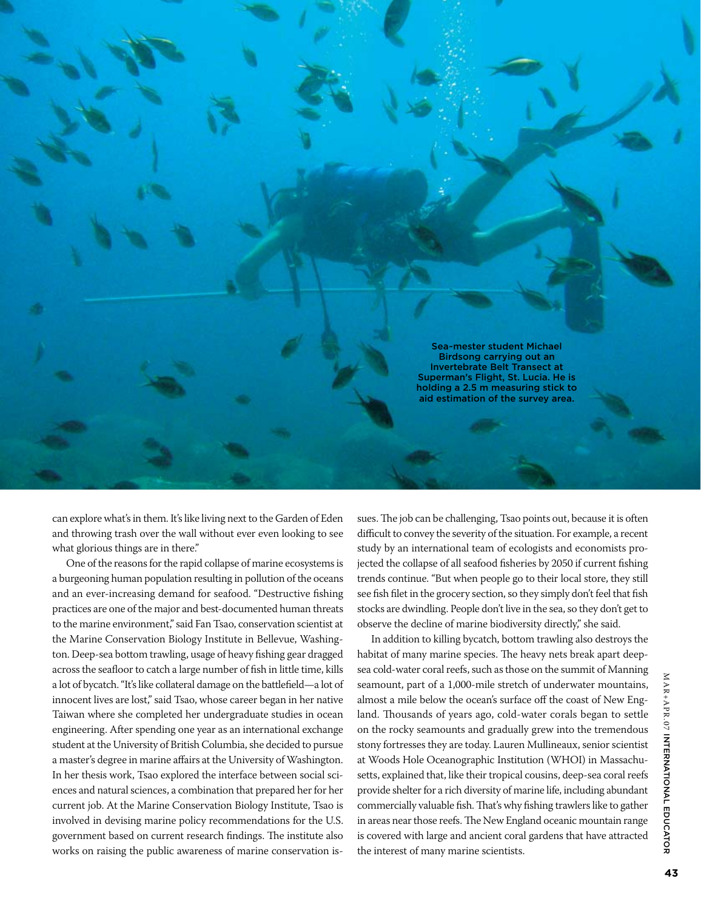

can explore what's in them. It's like living next to the Garden of Eden and throwing trash over the wall without ever even looking to see what glorious things are in there."

One of the reasons for the rapid collapse of marine ecosystems is a burgeoning human population resulting in pollution of the oceans and an ever-increasing demand for seafood. "Destructive fishing practices are one of the major and best-documented human threats to the marine environment," said Fan Tsao, conservation scientist at the Marine Conservation Biology Institute in Bellevue, Washington. Deep-sea bottom trawling, usage of heavy fishing gear dragged across the seafloor to catch a large number of fish in little time, kills a lot of bycatch. "It's like collateral damage on the battlefield—a lot of innocent lives are lost," said Tsao, whose career began in her native Taiwan where she completed her undergraduate studies in ocean engineering. After spending one year as an international exchange student at the University of British Columbia, she decided to pursue a master's degree in marine affairs at the University of Washington. In her thesis work, Tsao explored the interface between social sciences and natural sciences, a combination that prepared her for her current job. At the Marine Conservation Biology Institute, Tsao is involved in devising marine policy recommendations for the U.S. government based on current research findings. The institute also works on raising the public awareness of marine conservation issues. The job can be challenging, Tsao points out, because it is often difficult to convey the severity of the situation. For example, a recent study by an international team of ecologists and economists projected the collapse of all seafood fisheries by 2050 if current fishing trends continue. "But when people go to their local store, they still see fish filet in the grocery section, so they simply don't feel that fish stocks are dwindling. People don't live in the sea, so they don't get to observe the decline of marine biodiversity directly," she said.

In addition to killing bycatch, bottom trawling also destroys the habitat of many marine species. The heavy nets break apart deepsea cold-water coral reefs, such as those on the summit of Manning seamount, part of a 1,000-mile stretch of underwater mountains, almost a mile below the ocean's surface off the coast of New England. Thousands of years ago, cold-water corals began to settle on the rocky seamounts and gradually grew into the tremendous stony fortresses they are today. Lauren Mullineaux, senior scientist at Woods Hole Oceanographic Institution (WHOI) in Massachusetts, explained that, like their tropical cousins, deep-sea coral reefs provide shelter for a rich diversity of marine life, including abundant commercially valuable fish. That's why fishing trawlers like to gather in areas near those reefs. The New England oceanic mountain range is covered with large and ancient coral gardens that have attracted the interest of many marine scientists.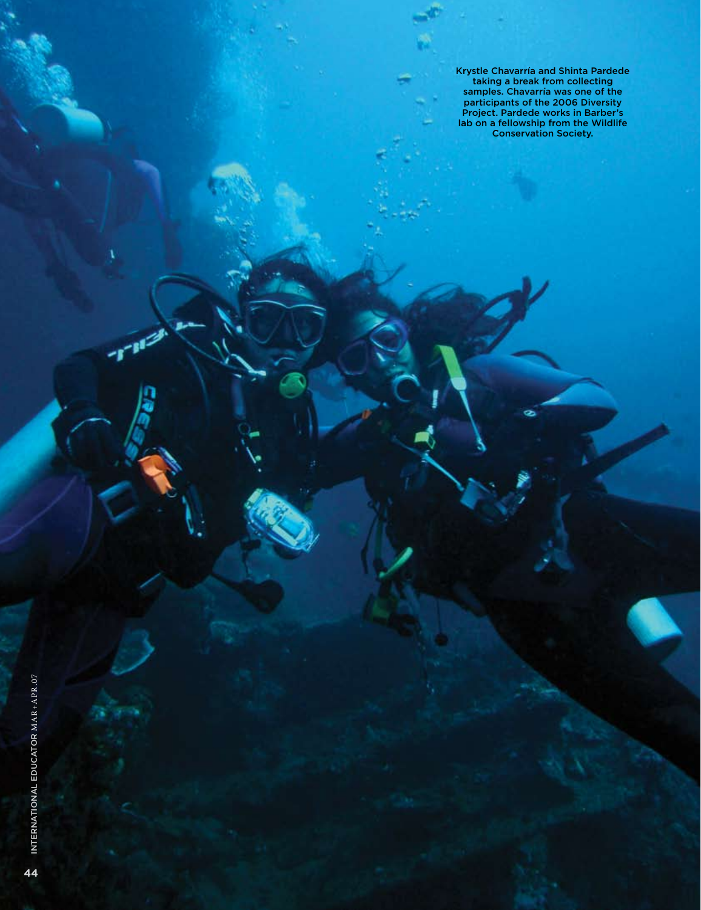Krystle Chavarría and Shinta Pardede taking a break from collecting samples. Chavarría was one of the participants of the 2006 Diversity Project. Pardede works in Barber's lab on a fellowship from the Wildlife Conservation Society.

ø

٦

1-11-1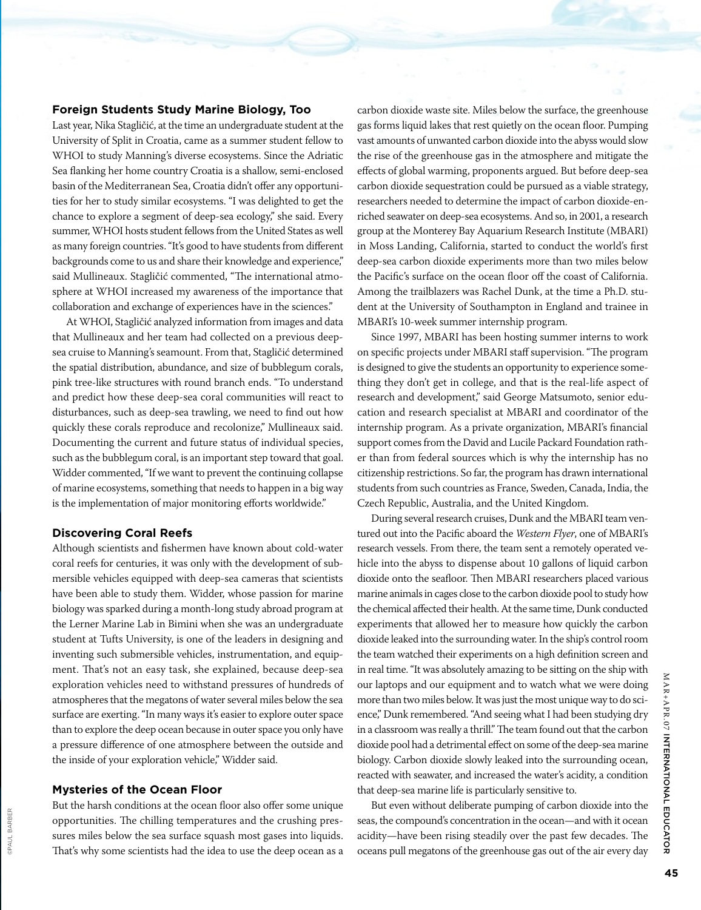#### **Foreign Students Study Marine Biology, Too**

Last year, Nika Stagličić, at the time an undergraduate student at the University of Split in Croatia, came as a summer student fellow to WHOI to study Manning's diverse ecosystems. Since the Adriatic Sea flanking her home country Croatia is a shallow, semi-enclosed basin of the Mediterranean Sea, Croatia didn't offer any opportunities for her to study similar ecosystems. "I was delighted to get the chance to explore a segment of deep-sea ecology," she said. Every summer, WHOI hosts student fellows from the United States as well as many foreign countries. "It's good to have students from different backgrounds come to us and share their knowledge and experience," said Mullineaux. Stagličić commented, "The international atmosphere at WHOI increased my awareness of the importance that collaboration and exchange of experiences have in the sciences."

At WHOI, Stagličić analyzed information from images and data that Mullineaux and her team had collected on a previous deepsea cruise to Manning's seamount. From that, Stagličić determined the spatial distribution, abundance, and size of bubblegum corals, pink tree-like structures with round branch ends. "To understand and predict how these deep-sea coral communities will react to disturbances, such as deep-sea trawling, we need to find out how quickly these corals reproduce and recolonize," Mullineaux said. Documenting the current and future status of individual species, such as the bubblegum coral, is an important step toward that goal. Widder commented, "If we want to prevent the continuing collapse of marine ecosystems, something that needs to happen in a big way is the implementation of major monitoring efforts worldwide."

#### **Discovering Coral Reefs**

Although scientists and fishermen have known about cold-water coral reefs for centuries, it was only with the development of submersible vehicles equipped with deep-sea cameras that scientists have been able to study them. Widder, whose passion for marine biology was sparked during a month-long study abroad program at the Lerner Marine Lab in Bimini when she was an undergraduate student at Tufts University, is one of the leaders in designing and inventing such submersible vehicles, instrumentation, and equipment. That's not an easy task, she explained, because deep-sea exploration vehicles need to withstand pressures of hundreds of atmospheres that the megatons of water several miles below the sea surface are exerting. "In many ways it's easier to explore outer space than to explore the deep ocean because in outer space you only have a pressure difference of one atmosphere between the outside and the inside of your exploration vehicle," Widder said.

#### **Mysteries of the Ocean Floor**

©Paul Barber

SPAUL BARBEF

But the harsh conditions at the ocean floor also offer some unique opportunities. The chilling temperatures and the crushing pressures miles below the sea surface squash most gases into liquids. That's why some scientists had the idea to use the deep ocean as a

carbon dioxide waste site. Miles below the surface, the greenhouse gas forms liquid lakes that rest quietly on the ocean floor. Pumping vast amounts of unwanted carbon dioxide into the abyss would slow the rise of the greenhouse gas in the atmosphere and mitigate the effects of global warming, proponents argued. But before deep-sea carbon dioxide sequestration could be pursued as a viable strategy, researchers needed to determine the impact of carbon dioxide-enriched seawater on deep-sea ecosystems. And so, in 2001, a research group at the Monterey Bay Aquarium Research Institute (MBARI) in Moss Landing, California, started to conduct the world's first deep-sea carbon dioxide experiments more than two miles below the Pacific's surface on the ocean floor off the coast of California. Among the trailblazers was Rachel Dunk, at the time a Ph.D. student at the University of Southampton in England and trainee in MBARI's 10-week summer internship program.

Since 1997, MBARI has been hosting summer interns to work on specific projects under MBARI staff supervision. "The program is designed to give the students an opportunity to experience something they don't get in college, and that is the real-life aspect of research and development," said George Matsumoto, senior education and research specialist at MBARI and coordinator of the internship program. As a private organization, MBARI's financial support comes from the David and Lucile Packard Foundation rather than from federal sources which is why the internship has no citizenship restrictions. So far, the program has drawn international students from such countries as France, Sweden, Canada, India, the Czech Republic, Australia, and the United Kingdom.

During several research cruises, Dunk and the MBARI team ventured out into the Pacific aboard the *Western Flyer*, one of MBARI's research vessels. From there, the team sent a remotely operated vehicle into the abyss to dispense about 10 gallons of liquid carbon dioxide onto the seafloor. Then MBARI researchers placed various marine animals in cages close to the carbon dioxide pool to study how the chemical affected their health. At the same time, Dunk conducted experiments that allowed her to measure how quickly the carbon dioxide leaked into the surrounding water. In the ship's control room the team watched their experiments on a high definition screen and in real time. "It was absolutely amazing to be sitting on the ship with our laptops and our equipment and to watch what we were doing more than two miles below. It was just the most unique way to do science," Dunk remembered. "And seeing what I had been studying dry in a classroom was really a thrill." The team found out that the carbon dioxide pool had a detrimental effect on some of the deep-sea marine biology. Carbon dioxide slowly leaked into the surrounding ocean, reacted with seawater, and increased the water's acidity, a condition that deep-sea marine life is particularly sensitive to.

But even without deliberate pumping of carbon dioxide into the seas, the compound's concentration in the ocean—and with it ocean acidity—have been rising steadily over the past few decades. The oceans pull megatons of the greenhouse gas out of the air every day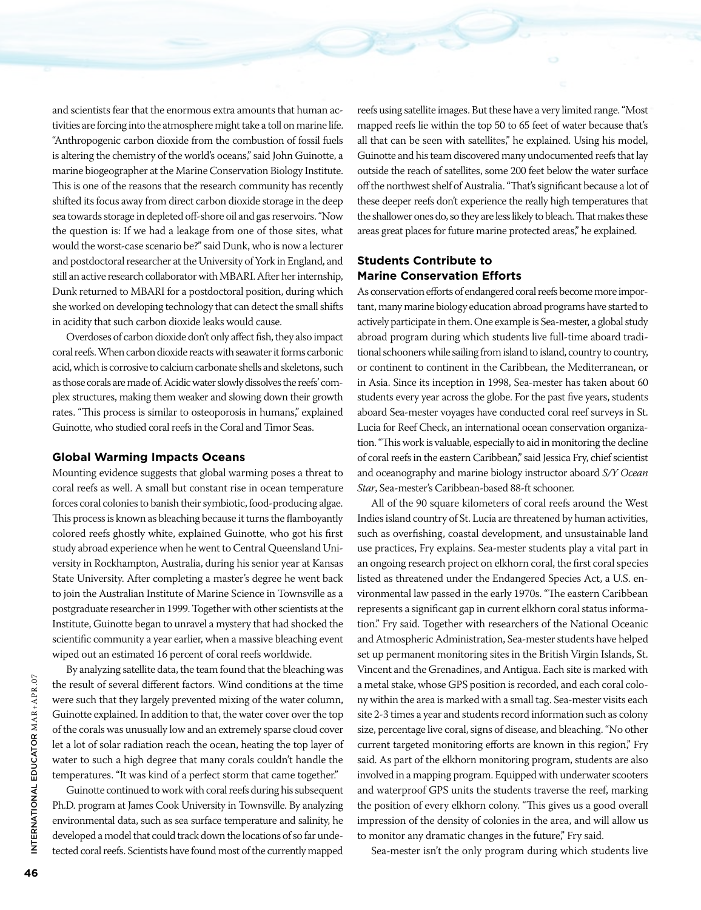and scientists fear that the enormous extra amounts that human activities are forcing into the atmosphere might take a toll on marine life. "Anthropogenic carbon dioxide from the combustion of fossil fuels is altering the chemistry of the world's oceans," said John Guinotte, a marine biogeographer at the Marine Conservation Biology Institute. This is one of the reasons that the research community has recently shifted its focus away from direct carbon dioxide storage in the deep sea towards storage in depleted off-shore oil and gas reservoirs. "Now the question is: If we had a leakage from one of those sites, what would the worst-case scenario be?" said Dunk, who is now a lecturer and postdoctoral researcher at the University of York in England, and still an active research collaborator with MBARI. After her internship, Dunk returned to MBARI for a postdoctoral position, during which she worked on developing technology that can detect the small shifts in acidity that such carbon dioxide leaks would cause.

Overdoses of carbon dioxide don't only affect fish, they also impact coral reefs. When carbon dioxide reacts with seawater it forms carbonic acid, which is corrosive to calcium carbonate shells and skeletons, such as those corals are made of. Acidic water slowly dissolves the reefs' complex structures, making them weaker and slowing down their growth rates. "This process is similar to osteoporosis in humans," explained Guinotte, who studied coral reefs in the Coral and Timor Seas.

#### **Global Warming Impacts Oceans**

Mounting evidence suggests that global warming poses a threat to coral reefs as well. A small but constant rise in ocean temperature forces coral colonies to banish their symbiotic, food-producing algae. This process is known as bleaching because it turns the flamboyantly colored reefs ghostly white, explained Guinotte, who got his first study abroad experience when he went to Central Queensland University in Rockhampton, Australia, during his senior year at Kansas State University. After completing a master's degree he went back to join the Australian Institute of Marine Science in Townsville as a postgraduate researcher in 1999. Together with other scientists at the Institute, Guinotte began to unravel a mystery that had shocked the scientific community a year earlier, when a massive bleaching event wiped out an estimated 16 percent of coral reefs worldwide.

By analyzing satellite data, the team found that the bleaching was the result of several different factors. Wind conditions at the time were such that they largely prevented mixing of the water column, Guinotte explained. In addition to that, the water cover over the top of the corals was unusually low and an extremely sparse cloud cover let a lot of solar radiation reach the ocean, heating the top layer of water to such a high degree that many corals couldn't handle the temperatures. "It was kind of a perfect storm that came together."

Guinotte continued to work with coral reefs during his subsequent Ph.D. program at James Cook University in Townsville. By analyzing environmental data, such as sea surface temperature and salinity, he developed a model that could track down the locations of so far undetected coral reefs. Scientists have found most of the currently mapped

reefs using satellite images. But these have a very limited range. "Most mapped reefs lie within the top 50 to 65 feet of water because that's all that can be seen with satellites," he explained. Using his model, Guinotte and his team discovered many undocumented reefs that lay outside the reach of satellites, some 200 feet below the water surface off the northwest shelf of Australia. "That's significant because a lot of these deeper reefs don't experience the really high temperatures that the shallower ones do, so they are less likely to bleach. That makes these areas great places for future marine protected areas," he explained.

#### **Students Contribute to Marine Conservation Efforts**

As conservation efforts of endangered coral reefs become more important, many marine biology education abroad programs have started to actively participate in them. One example is Sea-mester, a global study abroad program during which students live full-time aboard traditional schooners while sailing from island to island, country to country, or continent to continent in the Caribbean, the Mediterranean, or in Asia. Since its inception in 1998, Sea-mester has taken about 60 students every year across the globe. For the past five years, students aboard Sea-mester voyages have conducted coral reef surveys in St. Lucia for Reef Check, an international ocean conservation organization. "This work is valuable, especially to aid in monitoring the decline of coral reefs in the eastern Caribbean," said Jessica Fry, chief scientist and oceanography and marine biology instructor aboard *S/Y Ocean Star*, Sea-mester's Caribbean-based 88-ft schooner.

All of the 90 square kilometers of coral reefs around the West Indies island country of St. Lucia are threatened by human activities, such as overfishing, coastal development, and unsustainable land use practices, Fry explains. Sea-mester students play a vital part in an ongoing research project on elkhorn coral, the first coral species listed as threatened under the Endangered Species Act, a U.S. environmental law passed in the early 1970s. "The eastern Caribbean represents a significant gap in current elkhorn coral status information." Fry said. Together with researchers of the National Oceanic and Atmospheric Administration, Sea-mester students have helped set up permanent monitoring sites in the British Virgin Islands, St. Vincent and the Grenadines, and Antigua. Each site is marked with a metal stake, whose GPS position is recorded, and each coral colony within the area is marked with a small tag. Sea-mester visits each site 2-3 times a year and students record information such as colony size, percentage live coral, signs of disease, and bleaching. "No other current targeted monitoring efforts are known in this region," Fry said. As part of the elkhorn monitoring program, students are also involved in a mapping program. Equipped with underwater scooters and waterproof GPS units the students traverse the reef, marking the position of every elkhorn colony. "This gives us a good overall impression of the density of colonies in the area, and will allow us to monitor any dramatic changes in the future," Fry said.

Sea-mester isn't the only program during which students live